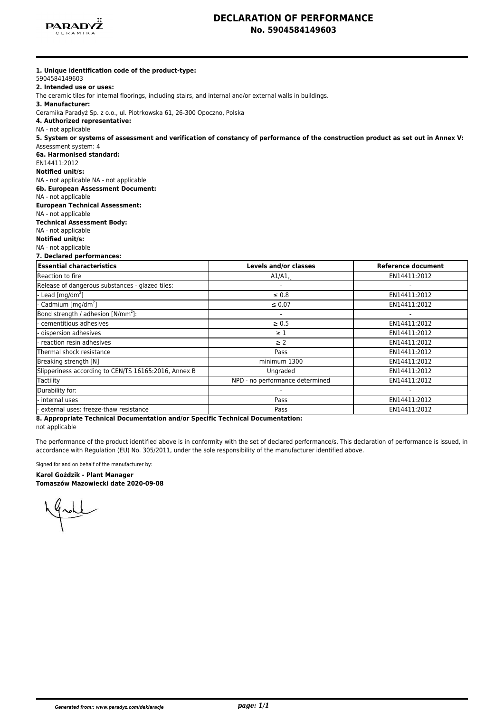

## **DECLARATION OF PERFORMANCE No. 5904584149603**

| 5904584149603<br>2. Intended use or uses:                                                                                          |  |  |                                                                         |
|------------------------------------------------------------------------------------------------------------------------------------|--|--|-------------------------------------------------------------------------|
| The ceramic tiles for internal floorings, including stairs, and internal and/or external walls in buildings.<br>3. Manufacturer:   |  |  |                                                                         |
|                                                                                                                                    |  |  | Ceramika Paradyż Sp. z o.o., ul. Piotrkowska 61, 26-300 Opoczno, Polska |
| 4. Authorized representative:                                                                                                      |  |  |                                                                         |
| NA - not applicable                                                                                                                |  |  |                                                                         |
| 5. System or systems of assessment and verification of constancy of performance of the construction product as set out in Annex V: |  |  |                                                                         |
| Assessment system: 4                                                                                                               |  |  |                                                                         |
| 6a. Harmonised standard:                                                                                                           |  |  |                                                                         |
| EN14411:2012                                                                                                                       |  |  |                                                                         |
| Notified unit/s:                                                                                                                   |  |  |                                                                         |
| NA - not applicable NA - not applicable                                                                                            |  |  |                                                                         |
| 6b. European Assessment Document:                                                                                                  |  |  |                                                                         |
| NA - not applicable                                                                                                                |  |  |                                                                         |
| <b>European Technical Assessment:</b>                                                                                              |  |  |                                                                         |
| NA - not applicable<br><b>Technical Assessment Body:</b>                                                                           |  |  |                                                                         |
| NA - not applicable                                                                                                                |  |  |                                                                         |
| <b>Notified unit/s:</b>                                                                                                            |  |  |                                                                         |
| NA - not applicable                                                                                                                |  |  |                                                                         |
| 7. Declared performances:                                                                                                          |  |  |                                                                         |
| <b>Essential characteristics</b><br>Levels and/or classes<br><b>Reference document</b>                                             |  |  |                                                                         |
| Reaction to fire<br>EN14411:2012<br>$A1/A1_{F1}$                                                                                   |  |  |                                                                         |
| Release of dangerous substances - glazed tiles:                                                                                    |  |  |                                                                         |
| - Lead $\lceil$ mg/dm <sup>2</sup> $\rceil$<br>$\leq 0.8$<br>EN14411:2012                                                          |  |  |                                                                         |
| - Cadmium [mg/dm <sup>2</sup> ]<br>EN14411:2012<br>$\leq 0.07$                                                                     |  |  |                                                                         |
| Bond strength / adhesion [N/mm <sup>2</sup> ]:                                                                                     |  |  |                                                                         |
| cementitious adhesives<br>EN14411:2012<br>$\geq 0.5$                                                                               |  |  |                                                                         |
| dispersion adhesives<br>EN14411:2012<br>$\geq 1$                                                                                   |  |  |                                                                         |
| - reaction resin adhesives<br>$\geq 2$<br>EN14411:2012                                                                             |  |  |                                                                         |
| Thermal shock resistance<br>Pass<br>EN14411:2012                                                                                   |  |  |                                                                         |
| minimum 1300<br>EN14411:2012<br>Breaking strength [N]                                                                              |  |  |                                                                         |
| Slipperiness according to CEN/TS 16165:2016, Annex B<br>Ungraded<br>EN14411:2012                                                   |  |  |                                                                         |
| Tactility<br>NPD - no performance determined<br>EN14411:2012                                                                       |  |  |                                                                         |
| Durability for:                                                                                                                    |  |  |                                                                         |
| internal uses<br>EN14411:2012<br>Pass                                                                                              |  |  |                                                                         |
| external uses: freeze-thaw resistance<br>EN14411:2012<br>Pass                                                                      |  |  |                                                                         |

**8. Appropriate Technical Documentation and/or Specific Technical Documentation:**

not applicable

The performance of the product identified above is in conformity with the set of declared performance/s. This declaration of performance is issued, in accordance with Regulation (EU) No. 305/2011, under the sole responsibility of the manufacturer identified above.

Signed for and on behalf of the manufacturer by:

# **Karol Goździk - Plant Manager**

**Tomaszów Mazowiecki date 2020-09-08**

Made